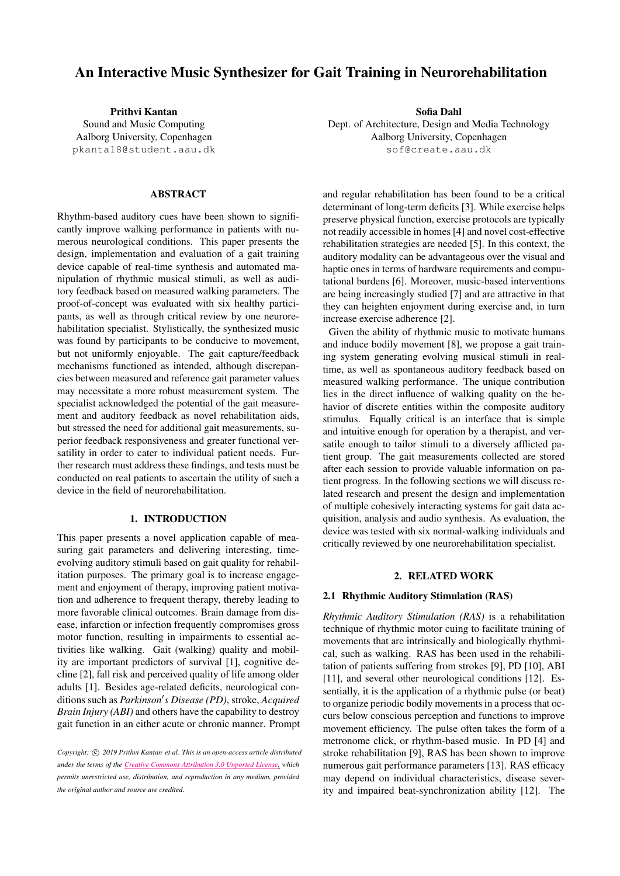# An Interactive Music Synthesizer for Gait Training in Neurorehabilitation

Prithvi Kantan Sound and Music Computing Aalborg University, Copenhagen [pkanta18@student.aau.dk](mailto:pkanta18@student.aau.dk)

# ABSTRACT

Rhythm-based auditory cues have been shown to significantly improve walking performance in patients with numerous neurological conditions. This paper presents the design, implementation and evaluation of a gait training device capable of real-time synthesis and automated manipulation of rhythmic musical stimuli, as well as auditory feedback based on measured walking parameters. The proof-of-concept was evaluated with six healthy participants, as well as through critical review by one neurorehabilitation specialist. Stylistically, the synthesized music was found by participants to be conducive to movement, but not uniformly enjoyable. The gait capture/feedback mechanisms functioned as intended, although discrepancies between measured and reference gait parameter values may necessitate a more robust measurement system. The specialist acknowledged the potential of the gait measurement and auditory feedback as novel rehabilitation aids, but stressed the need for additional gait measurements, superior feedback responsiveness and greater functional versatility in order to cater to individual patient needs. Further research must address these findings, and tests must be conducted on real patients to ascertain the utility of such a device in the field of neurorehabilitation.

# 1. INTRODUCTION

This paper presents a novel application capable of measuring gait parameters and delivering interesting, timeevolving auditory stimuli based on gait quality for rehabilitation purposes. The primary goal is to increase engagement and enjoyment of therapy, improving patient motivation and adherence to frequent therapy, thereby leading to more favorable clinical outcomes. Brain damage from disease, infarction or infection frequently compromises gross motor function, resulting in impairments to essential activities like walking. Gait (walking) quality and mobility are important predictors of survival [\[1\]](#page-7-0), cognitive decline [\[2\]](#page-7-1), fall risk and perceived quality of life among older adults [\[1\]](#page-7-0). Besides age-related deficits, neurological conditions such as *Parkinson's Disease* (PD), stroke, *Acquired Brain Injury (ABI)* and others have the capability to destroy gait function in an either acute or chronic manner. Prompt Sofia Dahl

Dept. of Architecture, Design and Media Technology Aalborg University, Copenhagen [sof@create.aau.dk](mailto:sof@create.aau.dk)

and regular rehabilitation has been found to be a critical determinant of long-term deficits [\[3\]](#page-7-2). While exercise helps preserve physical function, exercise protocols are typically not readily accessible in homes [\[4\]](#page-7-3) and novel cost-effective rehabilitation strategies are needed [\[5\]](#page-7-4). In this context, the auditory modality can be advantageous over the visual and haptic ones in terms of hardware requirements and computational burdens [\[6\]](#page-7-5). Moreover, music-based interventions are being increasingly studied [\[7\]](#page-7-6) and are attractive in that they can heighten enjoyment during exercise and, in turn increase exercise adherence [\[2\]](#page-7-1).

Given the ability of rhythmic music to motivate humans and induce bodily movement [\[8\]](#page-7-7), we propose a gait training system generating evolving musical stimuli in realtime, as well as spontaneous auditory feedback based on measured walking performance. The unique contribution lies in the direct influence of walking quality on the behavior of discrete entities within the composite auditory stimulus. Equally critical is an interface that is simple and intuitive enough for operation by a therapist, and versatile enough to tailor stimuli to a diversely afflicted patient group. The gait measurements collected are stored after each session to provide valuable information on patient progress. In the following sections we will discuss related research and present the design and implementation of multiple cohesively interacting systems for gait data acquisition, analysis and audio synthesis. As evaluation, the device was tested with six normal-walking individuals and critically reviewed by one neurorehabilitation specialist.

#### 2. RELATED WORK

# 2.1 Rhythmic Auditory Stimulation (RAS)

*Rhythmic Auditory Stimulation (RAS)* is a rehabilitation technique of rhythmic motor cuing to facilitate training of movements that are intrinsically and biologically rhythmical, such as walking. RAS has been used in the rehabilitation of patients suffering from strokes [\[9\]](#page-7-8), PD [\[10\]](#page-7-9), ABI [\[11\]](#page-7-10), and several other neurological conditions [\[12\]](#page-7-11). Essentially, it is the application of a rhythmic pulse (or beat) to organize periodic bodily movements in a process that occurs below conscious perception and functions to improve movement efficiency. The pulse often takes the form of a metronome click, or rhythm-based music. In PD [\[4\]](#page-7-3) and stroke rehabilitation [\[9\]](#page-7-8), RAS has been shown to improve numerous gait performance parameters [\[13\]](#page-7-12). RAS efficacy may depend on individual characteristics, disease severity and impaired beat-synchronization ability [\[12\]](#page-7-11). The

*Copyright:* (C) 2019 *Prithvi Kantan et al. This is an open-access article distributed under the terms of the Creative Commons [Attribution](http://creativecommons.org/licenses/by/3.0/) 3.0 Unported License, which permits unrestricted use, distribution, and reproduction in any medium, provided the original author and source are credited.*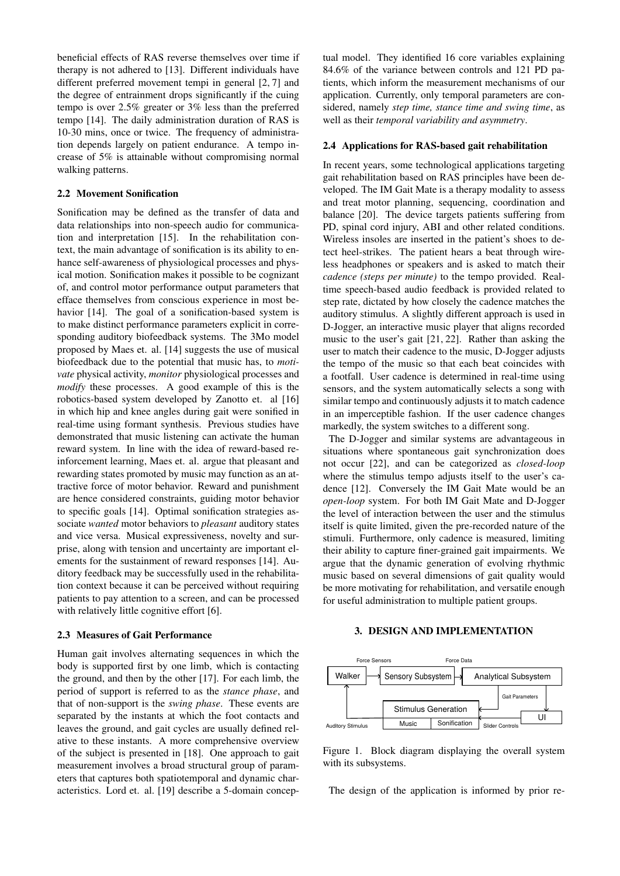beneficial effects of RAS reverse themselves over time if therapy is not adhered to [\[13\]](#page-7-12). Different individuals have different preferred movement tempi in general [\[2,](#page-7-1) [7\]](#page-7-6) and the degree of entrainment drops significantly if the cuing tempo is over 2.5% greater or 3% less than the preferred tempo [\[14\]](#page-7-13). The daily administration duration of RAS is 10-30 mins, once or twice. The frequency of administration depends largely on patient endurance. A tempo increase of 5% is attainable without compromising normal walking patterns.

# 2.2 Movement Sonification

Sonification may be defined as the transfer of data and data relationships into non-speech audio for communication and interpretation [\[15\]](#page-7-14). In the rehabilitation context, the main advantage of sonification is its ability to enhance self-awareness of physiological processes and physical motion. Sonification makes it possible to be cognizant of, and control motor performance output parameters that efface themselves from conscious experience in most be-havior [\[14\]](#page-7-13). The goal of a sonification-based system is to make distinct performance parameters explicit in corresponding auditory biofeedback systems. The 3Mo model proposed by Maes et. al. [\[14\]](#page-7-13) suggests the use of musical biofeedback due to the potential that music has, to *motivate* physical activity, *monitor* physiological processes and *modify* these processes. A good example of this is the robotics-based system developed by Zanotto et. al [\[16\]](#page-7-15) in which hip and knee angles during gait were sonified in real-time using formant synthesis. Previous studies have demonstrated that music listening can activate the human reward system. In line with the idea of reward-based reinforcement learning, Maes et. al. argue that pleasant and rewarding states promoted by music may function as an attractive force of motor behavior. Reward and punishment are hence considered constraints, guiding motor behavior to specific goals [\[14\]](#page-7-13). Optimal sonification strategies associate *wanted* motor behaviors to *pleasant* auditory states and vice versa. Musical expressiveness, novelty and surprise, along with tension and uncertainty are important elements for the sustainment of reward responses [\[14\]](#page-7-13). Auditory feedback may be successfully used in the rehabilitation context because it can be perceived without requiring patients to pay attention to a screen, and can be processed with relatively little cognitive effort [\[6\]](#page-7-5).

#### 2.3 Measures of Gait Performance

Human gait involves alternating sequences in which the body is supported first by one limb, which is contacting the ground, and then by the other [\[17\]](#page-7-16). For each limb, the period of support is referred to as the *stance phase*, and that of non-support is the *swing phase*. These events are separated by the instants at which the foot contacts and leaves the ground, and gait cycles are usually defined relative to these instants. A more comprehensive overview of the subject is presented in [\[18\]](#page-7-17). One approach to gait measurement involves a broad structural group of parameters that captures both spatiotemporal and dynamic characteristics. Lord et. al. [\[19\]](#page-7-18) describe a 5-domain conceptual model. They identified 16 core variables explaining 84.6% of the variance between controls and 121 PD patients, which inform the measurement mechanisms of our application. Currently, only temporal parameters are considered, namely *step time, stance time and swing time*, as well as their *temporal variability and asymmetry*.

#### 2.4 Applications for RAS-based gait rehabilitation

In recent years, some technological applications targeting gait rehabilitation based on RAS principles have been developed. The IM Gait Mate is a therapy modality to assess and treat motor planning, sequencing, coordination and balance [\[20\]](#page-7-19). The device targets patients suffering from PD, spinal cord injury, ABI and other related conditions. Wireless insoles are inserted in the patient's shoes to detect heel-strikes. The patient hears a beat through wireless headphones or speakers and is asked to match their *cadence (steps per minute)* to the tempo provided. Realtime speech-based audio feedback is provided related to step rate, dictated by how closely the cadence matches the auditory stimulus. A slightly different approach is used in D-Jogger, an interactive music player that aligns recorded music to the user's gait [\[21,](#page-7-20) [22\]](#page-7-21). Rather than asking the user to match their cadence to the music, D-Jogger adjusts the tempo of the music so that each beat coincides with a footfall. User cadence is determined in real-time using sensors, and the system automatically selects a song with similar tempo and continuously adjusts it to match cadence in an imperceptible fashion. If the user cadence changes markedly, the system switches to a different song.

The D-Jogger and similar systems are advantageous in situations where spontaneous gait synchronization does not occur [\[22\]](#page-7-21), and can be categorized as *closed-loop* where the stimulus tempo adjusts itself to the user's cadence [\[12\]](#page-7-11). Conversely the IM Gait Mate would be an *open-loop* system. For both IM Gait Mate and D-Jogger the level of interaction between the user and the stimulus itself is quite limited, given the pre-recorded nature of the stimuli. Furthermore, only cadence is measured, limiting their ability to capture finer-grained gait impairments. We argue that the dynamic generation of evolving rhythmic music based on several dimensions of gait quality would be more motivating for rehabilitation, and versatile enough for useful administration to multiple patient groups.

# 3. DESIGN AND IMPLEMENTATION

<span id="page-1-0"></span>

Figure 1. Block diagram displaying the overall system with its subsystems.

The design of the application is informed by prior re-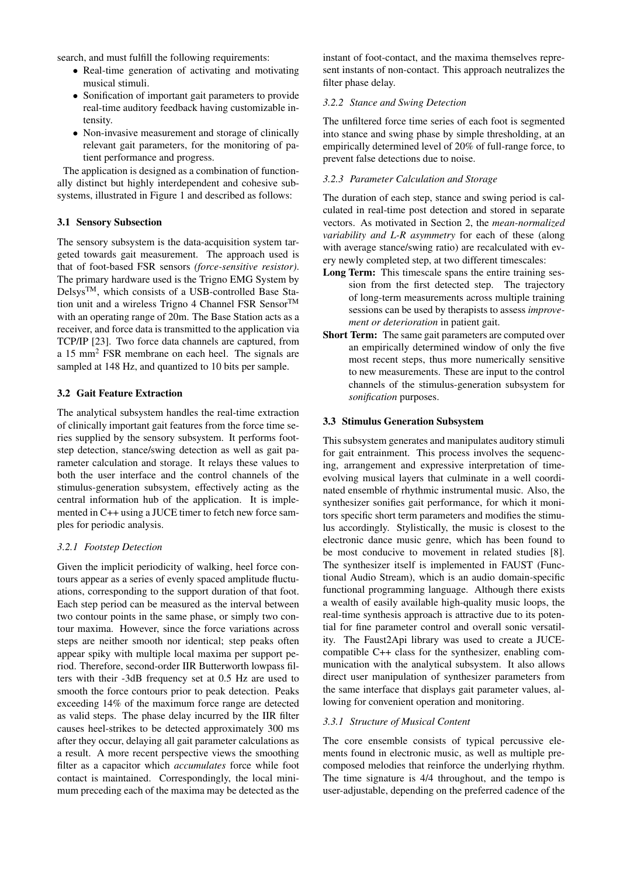search, and must fulfill the following requirements:

- Real-time generation of activating and motivating musical stimuli.
- Sonification of important gait parameters to provide real-time auditory feedback having customizable intensity.
- Non-invasive measurement and storage of clinically relevant gait parameters, for the monitoring of patient performance and progress.

The application is designed as a combination of functionally distinct but highly interdependent and cohesive subsystems, illustrated in Figure [1](#page-1-0) and described as follows:

# 3.1 Sensory Subsection

The sensory subsystem is the data-acquisition system targeted towards gait measurement. The approach used is that of foot-based FSR sensors *(force-sensitive resistor)*. The primary hardware used is the Trigno EMG System by  $Delsvs<sup>TM</sup>$ , which consists of a USB-controlled Base Station unit and a wireless Trigno 4 Channel FSR Sensor $^{TM}$ with an operating range of 20m. The Base Station acts as a receiver, and force data is transmitted to the application via TCP/IP [\[23\]](#page-7-22). Two force data channels are captured, from a 15 mm<sup>2</sup> FSR membrane on each heel. The signals are sampled at 148 Hz, and quantized to 10 bits per sample.

# 3.2 Gait Feature Extraction

The analytical subsystem handles the real-time extraction of clinically important gait features from the force time series supplied by the sensory subsystem. It performs footstep detection, stance/swing detection as well as gait parameter calculation and storage. It relays these values to both the user interface and the control channels of the stimulus-generation subsystem, effectively acting as the central information hub of the application. It is implemented in C++ using a JUCE timer to fetch new force samples for periodic analysis.

### *3.2.1 Footstep Detection*

Given the implicit periodicity of walking, heel force contours appear as a series of evenly spaced amplitude fluctuations, corresponding to the support duration of that foot. Each step period can be measured as the interval between two contour points in the same phase, or simply two contour maxima. However, since the force variations across steps are neither smooth nor identical; step peaks often appear spiky with multiple local maxima per support period. Therefore, second-order IIR Butterworth lowpass filters with their -3dB frequency set at 0.5 Hz are used to smooth the force contours prior to peak detection. Peaks exceeding 14% of the maximum force range are detected as valid steps. The phase delay incurred by the IIR filter causes heel-strikes to be detected approximately 300 ms after they occur, delaying all gait parameter calculations as a result. A more recent perspective views the smoothing filter as a capacitor which *accumulates* force while foot contact is maintained. Correspondingly, the local minimum preceding each of the maxima may be detected as the instant of foot-contact, and the maxima themselves represent instants of non-contact. This approach neutralizes the filter phase delay.

#### *3.2.2 Stance and Swing Detection*

The unfiltered force time series of each foot is segmented into stance and swing phase by simple thresholding, at an empirically determined level of 20% of full-range force, to prevent false detections due to noise.

# *3.2.3 Parameter Calculation and Storage*

The duration of each step, stance and swing period is calculated in real-time post detection and stored in separate vectors. As motivated in Section 2, the *mean-normalized variability and L-R asymmetry* for each of these (along with average stance/swing ratio) are recalculated with every newly completed step, at two different timescales:

- Long Term: This timescale spans the entire training session from the first detected step. The trajectory of long-term measurements across multiple training sessions can be used by therapists to assess *improvement or deterioration* in patient gait.
- Short Term: The same gait parameters are computed over an empirically determined window of only the five most recent steps, thus more numerically sensitive to new measurements. These are input to the control channels of the stimulus-generation subsystem for *sonification* purposes.

#### 3.3 Stimulus Generation Subsystem

This subsystem generates and manipulates auditory stimuli for gait entrainment. This process involves the sequencing, arrangement and expressive interpretation of timeevolving musical layers that culminate in a well coordinated ensemble of rhythmic instrumental music. Also, the synthesizer sonifies gait performance, for which it monitors specific short term parameters and modifies the stimulus accordingly. Stylistically, the music is closest to the electronic dance music genre, which has been found to be most conducive to movement in related studies [\[8\]](#page-7-7). The synthesizer itself is implemented in FAUST (Functional Audio Stream), which is an audio domain-specific functional programming language. Although there exists a wealth of easily available high-quality music loops, the real-time synthesis approach is attractive due to its potential for fine parameter control and overall sonic versatility. The Faust2Api library was used to create a JUCEcompatible C++ class for the synthesizer, enabling communication with the analytical subsystem. It also allows direct user manipulation of synthesizer parameters from the same interface that displays gait parameter values, allowing for convenient operation and monitoring.

# *3.3.1 Structure of Musical Content*

The core ensemble consists of typical percussive elements found in electronic music, as well as multiple precomposed melodies that reinforce the underlying rhythm. The time signature is 4/4 throughout, and the tempo is user-adjustable, depending on the preferred cadence of the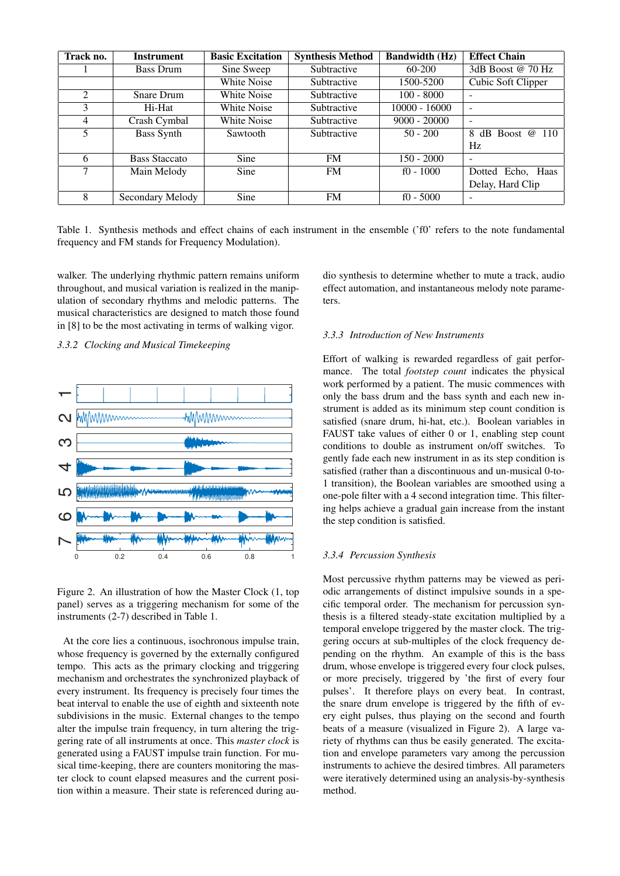| Track no.      | <b>Instrument</b>    | <b>Basic Excitation</b> | <b>Synthesis Method</b> | <b>Bandwidth (Hz)</b> | <b>Effect Chain</b>        |
|----------------|----------------------|-------------------------|-------------------------|-----------------------|----------------------------|
|                | <b>Bass Drum</b>     | Sine Sweep              | Subtractive             | $60 - 200$            | 3dB Boost @ 70 Hz          |
|                |                      | White Noise             | Subtractive             | 1500-5200             | Cubic Soft Clipper         |
| $\mathfrak{D}$ | Snare Drum           | White Noise             | Subtractive             | $100 - 8000$          |                            |
| 3              | Hi-Hat               | White Noise             | Subtractive             | $10000 - 16000$       | $\overline{\phantom{a}}$   |
| 4              | Crash Cymbal         | <b>White Noise</b>      | Subtractive             | $9000 - 20000$        |                            |
| 5              | <b>Bass Synth</b>    | Sawtooth                | Subtractive             | $50 - 200$            | $dB$ Boost $@$<br>8<br>110 |
|                |                      |                         |                         |                       | Hz                         |
| 6              | <b>Bass Staccato</b> | Sine                    | <b>FM</b>               | $150 - 2000$          |                            |
| 7              | Main Melody          | Sine                    | <b>FM</b>               | $f0 - 1000$           | Dotted Echo, Haas          |
|                |                      |                         |                         |                       | Delay, Hard Clip           |
| 8              | Secondary Melody     | Sine                    | FM                      | $f0 - 5000$           |                            |

<span id="page-3-0"></span>Table 1. Synthesis methods and effect chains of each instrument in the ensemble ('f0' refers to the note fundamental frequency and FM stands for Frequency Modulation).

walker. The underlying rhythmic pattern remains uniform throughout, and musical variation is realized in the manipulation of secondary rhythms and melodic patterns. The musical characteristics are designed to match those found in [\[8\]](#page-7-7) to be the most activating in terms of walking vigor.

*3.3.2 Clocking and Musical Timekeeping*



Figure 2. An illustration of how the Master Clock (1, top panel) serves as a triggering mechanism for some of the instruments (2-7) described in Table [1.](#page-3-0)

At the core lies a continuous, isochronous impulse train, whose frequency is governed by the externally configured tempo. This acts as the primary clocking and triggering mechanism and orchestrates the synchronized playback of every instrument. Its frequency is precisely four times the beat interval to enable the use of eighth and sixteenth note subdivisions in the music. External changes to the tempo alter the impulse train frequency, in turn altering the triggering rate of all instruments at once. This *master clock* is generated using a FAUST impulse train function. For musical time-keeping, there are counters monitoring the master clock to count elapsed measures and the current position within a measure. Their state is referenced during audio synthesis to determine whether to mute a track, audio effect automation, and instantaneous melody note parameters.

#### *3.3.3 Introduction of New Instruments*

Effort of walking is rewarded regardless of gait performance. The total *footstep count* indicates the physical work performed by a patient. The music commences with only the bass drum and the bass synth and each new instrument is added as its minimum step count condition is satisfied (snare drum, hi-hat, etc.). Boolean variables in FAUST take values of either 0 or 1, enabling step count conditions to double as instrument on/off switches. To gently fade each new instrument in as its step condition is satisfied (rather than a discontinuous and un-musical 0-to-1 transition), the Boolean variables are smoothed using a one-pole filter with a 4 second integration time. This filtering helps achieve a gradual gain increase from the instant the step condition is satisfied.

### *3.3.4 Percussion Synthesis*

Most percussive rhythm patterns may be viewed as periodic arrangements of distinct impulsive sounds in a specific temporal order. The mechanism for percussion synthesis is a filtered steady-state excitation multiplied by a temporal envelope triggered by the master clock. The triggering occurs at sub-multiples of the clock frequency depending on the rhythm. An example of this is the bass drum, whose envelope is triggered every four clock pulses, or more precisely, triggered by 'the first of every four pulses'. It therefore plays on every beat. In contrast, the snare drum envelope is triggered by the fifth of every eight pulses, thus playing on the second and fourth beats of a measure (visualized in Figure 2). A large variety of rhythms can thus be easily generated. The excitation and envelope parameters vary among the percussion instruments to achieve the desired timbres. All parameters were iteratively determined using an analysis-by-synthesis method.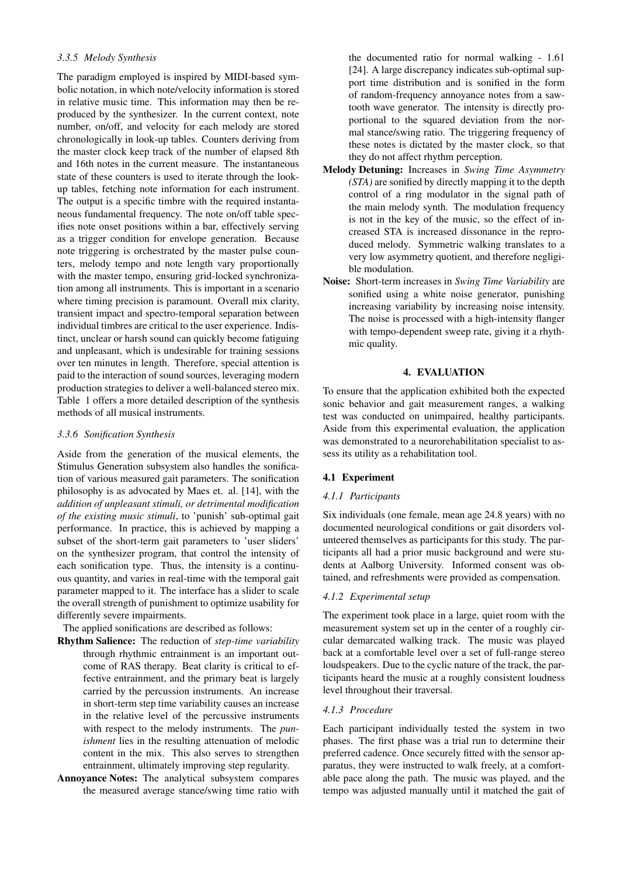# *3.3.5 Melody Synthesis*

The paradigm employed is inspired by MIDI-based symbolic notation, in which note/velocity information is stored in relative music time. This information may then be reproduced by the synthesizer. In the current context, note number, on/off, and velocity for each melody are stored chronologically in look-up tables. Counters deriving from the master clock keep track of the number of elapsed 8th and 16th notes in the current measure. The instantaneous state of these counters is used to iterate through the lookup tables, fetching note information for each instrument. The output is a specific timbre with the required instantaneous fundamental frequency. The note on/off table specifies note onset positions within a bar, effectively serving as a trigger condition for envelope generation. Because note triggering is orchestrated by the master pulse counters, melody tempo and note length vary proportionally with the master tempo, ensuring grid-locked synchronization among all instruments. This is important in a scenario where timing precision is paramount. Overall mix clarity, transient impact and spectro-temporal separation between individual timbres are critical to the user experience. Indistinct, unclear or harsh sound can quickly become fatiguing and unpleasant, which is undesirable for training sessions over ten minutes in length. Therefore, special attention is paid to the interaction of sound sources, leveraging modern production strategies to deliver a well-balanced stereo mix. Table [1](#page-3-0) offers a more detailed description of the synthesis methods of all musical instruments.

# *3.3.6 Sonification Synthesis*

Aside from the generation of the musical elements, the Stimulus Generation subsystem also handles the sonification of various measured gait parameters. The sonification philosophy is as advocated by Maes et. al. [\[14\]](#page-7-13), with the *addition of unpleasant stimuli, or detrimental modification of the existing music stimuli*, to 'punish' sub-optimal gait performance. In practice, this is achieved by mapping a subset of the short-term gait parameters to 'user sliders' on the synthesizer program, that control the intensity of each sonification type. Thus, the intensity is a continuous quantity, and varies in real-time with the temporal gait parameter mapped to it. The interface has a slider to scale the overall strength of punishment to optimize usability for differently severe impairments.

The applied sonifications are described as follows:

- Rhythm Salience: The reduction of *step-time variability* through rhythmic entrainment is an important outcome of RAS therapy. Beat clarity is critical to effective entrainment, and the primary beat is largely carried by the percussion instruments. An increase in short-term step time variability causes an increase in the relative level of the percussive instruments with respect to the melody instruments. The *punishment* lies in the resulting attenuation of melodic content in the mix. This also serves to strengthen entrainment, ultimately improving step regularity.
- Annoyance Notes: The analytical subsystem compares the measured average stance/swing time ratio with

the documented ratio for normal walking - 1.61 [\[24\]](#page-7-23). A large discrepancy indicates sub-optimal support time distribution and is sonified in the form of random-frequency annoyance notes from a sawtooth wave generator. The intensity is directly proportional to the squared deviation from the normal stance/swing ratio. The triggering frequency of these notes is dictated by the master clock, so that they do not affect rhythm perception.

- Melody Detuning: Increases in *Swing Time Asymmetry (STA)* are sonified by directly mapping it to the depth control of a ring modulator in the signal path of the main melody synth. The modulation frequency is not in the key of the music, so the effect of increased STA is increased dissonance in the reproduced melody. Symmetric walking translates to a very low asymmetry quotient, and therefore negligible modulation.
- Noise: Short-term increases in *Swing Time Variability* are sonified using a white noise generator, punishing increasing variability by increasing noise intensity. The noise is processed with a high-intensity flanger with tempo-dependent sweep rate, giving it a rhythmic quality.

# 4. EVALUATION

To ensure that the application exhibited both the expected sonic behavior and gait measurement ranges, a walking test was conducted on unimpaired, healthy participants. Aside from this experimental evaluation, the application was demonstrated to a neurorehabilitation specialist to assess its utility as a rehabilitation tool.

# 4.1 Experiment

# *4.1.1 Participants*

Six individuals (one female, mean age 24.8 years) with no documented neurological conditions or gait disorders volunteered themselves as participants for this study. The participants all had a prior music background and were students at Aalborg University. Informed consent was obtained, and refreshments were provided as compensation.

# *4.1.2 Experimental setup*

The experiment took place in a large, quiet room with the measurement system set up in the center of a roughly circular demarcated walking track. The music was played back at a comfortable level over a set of full-range stereo loudspeakers. Due to the cyclic nature of the track, the participants heard the music at a roughly consistent loudness level throughout their traversal.

# *4.1.3 Procedure*

Each participant individually tested the system in two phases. The first phase was a trial run to determine their preferred cadence. Once securely fitted with the sensor apparatus, they were instructed to walk freely, at a comfortable pace along the path. The music was played, and the tempo was adjusted manually until it matched the gait of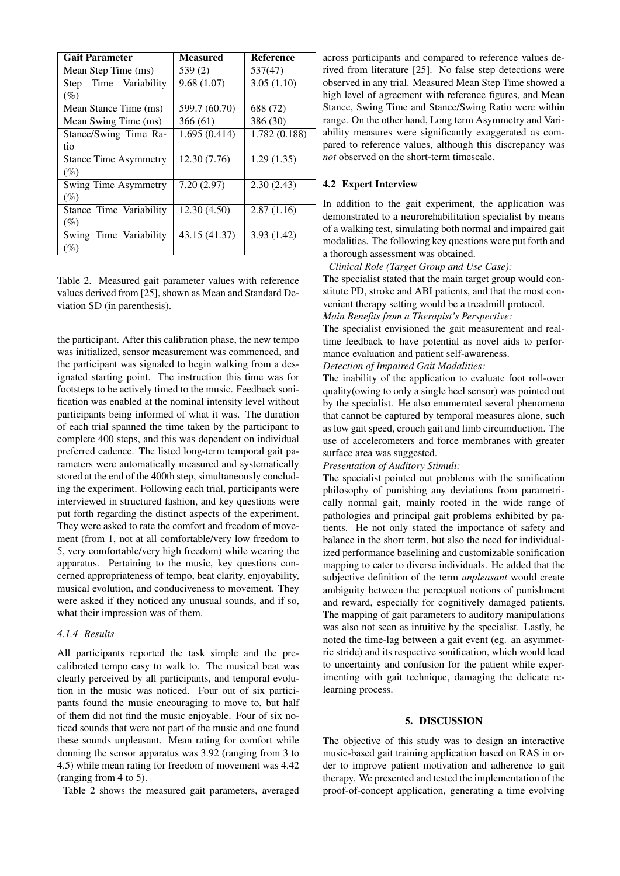<span id="page-5-0"></span>

| <b>Gait Parameter</b>        | <b>Measured</b> | <b>Reference</b> |
|------------------------------|-----------------|------------------|
| Mean Step Time (ms)          | 539(2)          | 537(47)          |
| Step Time Variability        | 9.68(1.07)      | 3.05(1.10)       |
| $(\%)$                       |                 |                  |
| Mean Stance Time (ms)        | 599.7 (60.70)   | 688 (72)         |
| Mean Swing Time (ms)         | 366(61)         | 386 (30)         |
| Stance/Swing Time Ra-        | 1.695(0.414)    | 1.782 (0.188)    |
| tio                          |                 |                  |
| <b>Stance Time Asymmetry</b> | 12.30 (7.76)    | 1.29(1.35)       |
| $(\%)$                       |                 |                  |
| Swing Time Asymmetry         | 7.20(2.97)      | 2.30(2.43)       |
| (%)                          |                 |                  |
| Stance Time Variability      | 12.30(4.50)     | 2.87(1.16)       |
| $(\%)$                       |                 |                  |
| Swing Time Variability       | 43.15 (41.37)   | 3.93(1.42)       |
| (%)                          |                 |                  |

Table 2. Measured gait parameter values with reference values derived from [\[25\]](#page-7-24), shown as Mean and Standard Deviation SD (in parenthesis).

the participant. After this calibration phase, the new tempo was initialized, sensor measurement was commenced, and the participant was signaled to begin walking from a designated starting point. The instruction this time was for footsteps to be actively timed to the music. Feedback sonification was enabled at the nominal intensity level without participants being informed of what it was. The duration of each trial spanned the time taken by the participant to complete 400 steps, and this was dependent on individual preferred cadence. The listed long-term temporal gait parameters were automatically measured and systematically stored at the end of the 400th step, simultaneously concluding the experiment. Following each trial, participants were interviewed in structured fashion, and key questions were put forth regarding the distinct aspects of the experiment. They were asked to rate the comfort and freedom of movement (from 1, not at all comfortable/very low freedom to 5, very comfortable/very high freedom) while wearing the apparatus. Pertaining to the music, key questions concerned appropriateness of tempo, beat clarity, enjoyability, musical evolution, and conduciveness to movement. They were asked if they noticed any unusual sounds, and if so, what their impression was of them.

# *4.1.4 Results*

All participants reported the task simple and the precalibrated tempo easy to walk to. The musical beat was clearly perceived by all participants, and temporal evolution in the music was noticed. Four out of six participants found the music encouraging to move to, but half of them did not find the music enjoyable. Four of six noticed sounds that were not part of the music and one found these sounds unpleasant. Mean rating for comfort while donning the sensor apparatus was 3.92 (ranging from 3 to 4.5) while mean rating for freedom of movement was 4.42 (ranging from 4 to 5).

Table [2](#page-5-0) shows the measured gait parameters, averaged

across participants and compared to reference values derived from literature [\[25\]](#page-7-24). No false step detections were observed in any trial. Measured Mean Step Time showed a high level of agreement with reference figures, and Mean Stance, Swing Time and Stance/Swing Ratio were within range. On the other hand, Long term Asymmetry and Variability measures were significantly exaggerated as compared to reference values, although this discrepancy was *not* observed on the short-term timescale.

### 4.2 Expert Interview

In addition to the gait experiment, the application was demonstrated to a neurorehabilitation specialist by means of a walking test, simulating both normal and impaired gait modalities. The following key questions were put forth and a thorough assessment was obtained.

*Clinical Role (Target Group and Use Case):*

The specialist stated that the main target group would constitute PD, stroke and ABI patients, and that the most convenient therapy setting would be a treadmill protocol. *Main Benefits from a Therapist's Perspective:*

The specialist envisioned the gait measurement and realtime feedback to have potential as novel aids to performance evaluation and patient self-awareness.

*Detection of Impaired Gait Modalities:*

The inability of the application to evaluate foot roll-over quality(owing to only a single heel sensor) was pointed out by the specialist. He also enumerated several phenomena that cannot be captured by temporal measures alone, such as low gait speed, crouch gait and limb circumduction. The use of accelerometers and force membranes with greater surface area was suggested.

*Presentation of Auditory Stimuli:*

The specialist pointed out problems with the sonification philosophy of punishing any deviations from parametrically normal gait, mainly rooted in the wide range of pathologies and principal gait problems exhibited by patients. He not only stated the importance of safety and balance in the short term, but also the need for individualized performance baselining and customizable sonification mapping to cater to diverse individuals. He added that the subjective definition of the term *unpleasant* would create ambiguity between the perceptual notions of punishment and reward, especially for cognitively damaged patients. The mapping of gait parameters to auditory manipulations was also not seen as intuitive by the specialist. Lastly, he noted the time-lag between a gait event (eg. an asymmetric stride) and its respective sonification, which would lead to uncertainty and confusion for the patient while experimenting with gait technique, damaging the delicate relearning process.

### 5. DISCUSSION

The objective of this study was to design an interactive music-based gait training application based on RAS in order to improve patient motivation and adherence to gait therapy. We presented and tested the implementation of the proof-of-concept application, generating a time evolving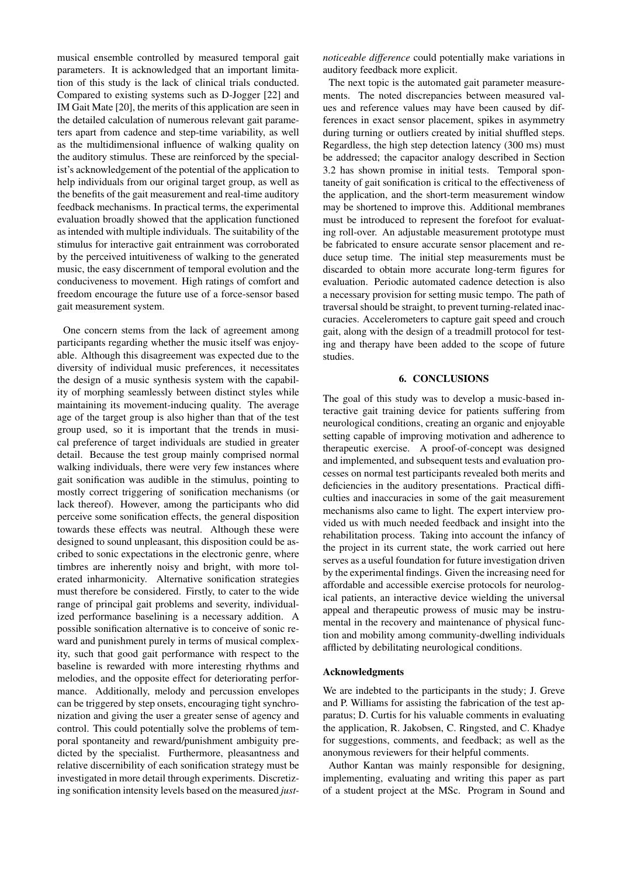musical ensemble controlled by measured temporal gait parameters. It is acknowledged that an important limitation of this study is the lack of clinical trials conducted. Compared to existing systems such as D-Jogger [\[22\]](#page-7-21) and IM Gait Mate [\[20\]](#page-7-19), the merits of this application are seen in the detailed calculation of numerous relevant gait parameters apart from cadence and step-time variability, as well as the multidimensional influence of walking quality on the auditory stimulus. These are reinforced by the specialist's acknowledgement of the potential of the application to help individuals from our original target group, as well as the benefits of the gait measurement and real-time auditory feedback mechanisms. In practical terms, the experimental evaluation broadly showed that the application functioned as intended with multiple individuals. The suitability of the stimulus for interactive gait entrainment was corroborated by the perceived intuitiveness of walking to the generated music, the easy discernment of temporal evolution and the conduciveness to movement. High ratings of comfort and freedom encourage the future use of a force-sensor based gait measurement system.

One concern stems from the lack of agreement among participants regarding whether the music itself was enjoyable. Although this disagreement was expected due to the diversity of individual music preferences, it necessitates the design of a music synthesis system with the capability of morphing seamlessly between distinct styles while maintaining its movement-inducing quality. The average age of the target group is also higher than that of the test group used, so it is important that the trends in musical preference of target individuals are studied in greater detail. Because the test group mainly comprised normal walking individuals, there were very few instances where gait sonification was audible in the stimulus, pointing to mostly correct triggering of sonification mechanisms (or lack thereof). However, among the participants who did perceive some sonification effects, the general disposition towards these effects was neutral. Although these were designed to sound unpleasant, this disposition could be ascribed to sonic expectations in the electronic genre, where timbres are inherently noisy and bright, with more tolerated inharmonicity. Alternative sonification strategies must therefore be considered. Firstly, to cater to the wide range of principal gait problems and severity, individualized performance baselining is a necessary addition. A possible sonification alternative is to conceive of sonic reward and punishment purely in terms of musical complexity, such that good gait performance with respect to the baseline is rewarded with more interesting rhythms and melodies, and the opposite effect for deteriorating performance. Additionally, melody and percussion envelopes can be triggered by step onsets, encouraging tight synchronization and giving the user a greater sense of agency and control. This could potentially solve the problems of temporal spontaneity and reward/punishment ambiguity predicted by the specialist. Furthermore, pleasantness and relative discernibility of each sonification strategy must be investigated in more detail through experiments. Discretizing sonification intensity levels based on the measured *just-* *noticeable difference* could potentially make variations in auditory feedback more explicit.

The next topic is the automated gait parameter measurements. The noted discrepancies between measured values and reference values may have been caused by differences in exact sensor placement, spikes in asymmetry during turning or outliers created by initial shuffled steps. Regardless, the high step detection latency (300 ms) must be addressed; the capacitor analogy described in Section 3.2 has shown promise in initial tests. Temporal spontaneity of gait sonification is critical to the effectiveness of the application, and the short-term measurement window may be shortened to improve this. Additional membranes must be introduced to represent the forefoot for evaluating roll-over. An adjustable measurement prototype must be fabricated to ensure accurate sensor placement and reduce setup time. The initial step measurements must be discarded to obtain more accurate long-term figures for evaluation. Periodic automated cadence detection is also a necessary provision for setting music tempo. The path of traversal should be straight, to prevent turning-related inaccuracies. Accelerometers to capture gait speed and crouch gait, along with the design of a treadmill protocol for testing and therapy have been added to the scope of future studies.

#### 6. CONCLUSIONS

The goal of this study was to develop a music-based interactive gait training device for patients suffering from neurological conditions, creating an organic and enjoyable setting capable of improving motivation and adherence to therapeutic exercise. A proof-of-concept was designed and implemented, and subsequent tests and evaluation processes on normal test participants revealed both merits and deficiencies in the auditory presentations. Practical difficulties and inaccuracies in some of the gait measurement mechanisms also came to light. The expert interview provided us with much needed feedback and insight into the rehabilitation process. Taking into account the infancy of the project in its current state, the work carried out here serves as a useful foundation for future investigation driven by the experimental findings. Given the increasing need for affordable and accessible exercise protocols for neurological patients, an interactive device wielding the universal appeal and therapeutic prowess of music may be instrumental in the recovery and maintenance of physical function and mobility among community-dwelling individuals afflicted by debilitating neurological conditions.

#### Acknowledgments

We are indebted to the participants in the study; J. Greve and P. Williams for assisting the fabrication of the test apparatus; D. Curtis for his valuable comments in evaluating the application, R. Jakobsen, C. Ringsted, and C. Khadye for suggestions, comments, and feedback; as well as the anonymous reviewers for their helpful comments.

Author Kantan was mainly responsible for designing, implementing, evaluating and writing this paper as part of a student project at the MSc. Program in Sound and